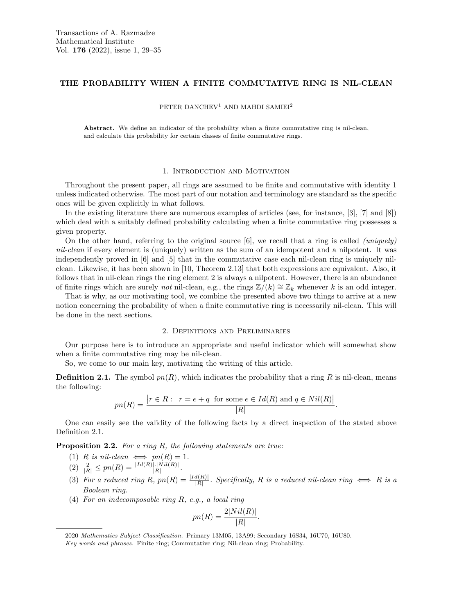## THE PROBABILITY WHEN A FINITE COMMUTATIVE RING IS NIL-CLEAN

PETER DANCHEV<sup>1</sup> AND MAHDI SAMIEI<sup>2</sup>

Abstract. We define an indicator of the probability when a finite commutative ring is nil-clean, and calculate this probability for certain classes of finite commutative rings.

#### 1. Introduction and Motivation

Throughout the present paper, all rings are assumed to be finite and commutative with identity 1 unless indicated otherwise. The most part of our notation and terminology are standard as the specific ones will be given explicitly in what follows.

In the existing literature there are numerous examples of articles (see, for instance, [3], [7] and [8]) which deal with a suitably defined probability calculating when a finite commutative ring possesses a given property.

On the other hand, referring to the original source  $[6]$ , we recall that a ring is called *(uniquely)* nil-clean if every element is (uniquely) written as the sum of an idempotent and a nilpotent. It was independently proved in [6] and [5] that in the commutative case each nil-clean ring is uniquely nilclean. Likewise, it has been shown in [10, Theorem 2.13] that both expressions are equivalent. Also, it follows that in nil-clean rings the ring element 2 is always a nilpotent. However, there is an abundance of finite rings which are surely not nil-clean, e.g., the rings  $\mathbb{Z}/(k) \cong \mathbb{Z}_k$  whenever k is an odd integer.

That is why, as our motivating tool, we combine the presented above two things to arrive at a new notion concerning the probability of when a finite commutative ring is necessarily nil-clean. This will be done in the next sections.

### 2. Definitions and Preliminaries

Our purpose here is to introduce an appropriate and useful indicator which will somewhat show when a finite commutative ring may be nil-clean.

So, we come to our main key, motivating the writing of this article.

**Definition 2.1.** The symbol  $pn(R)$ , which indicates the probability that a ring R is nil-clean, means the following:

$$
pn(R) = \frac{|r \in R: r = e + q \text{ for some } e \in Id(R) \text{ and } q \in Nil(R)|}{|R|}.
$$

One can easily see the validity of the following facts by a direct inspection of the stated above Definition 2.1.

Proposition 2.2. For a ring R, the following statements are true:

- (1) R is nil-clean  $\iff pn(R) = 1$ .
- $(2) \frac{2}{|R|} \leq pn(R) = \frac{|Id(R)|.|Nil(R)|}{|R|}.$
- (3) For a reduced ring R,  $pn(R) = \frac{|Id(R)|}{|R|}$ . Specifically, R is a reduced nil-clean ring  $\iff$  R is a Boolean ring.
- (4) For an indecomposable ring R, e.g., a local ring

$$
pn(R) = \frac{2|Nil(R)|}{|R|}.
$$

<sup>2020</sup> Mathematics Subject Classification. Primary 13M05, 13A99; Secondary 16S34, 16U70, 16U80. Key words and phrases. Finite ring; Commutative ring; Nil-clean ring; Probability.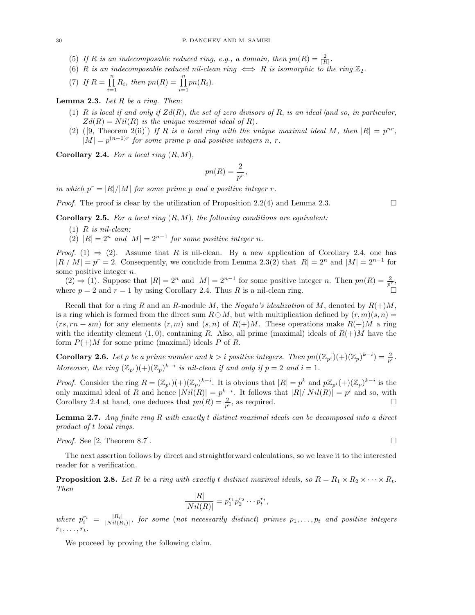- (5) If R is an indecomposable reduced ring, e.g., a domain, then  $pn(R) = \frac{2}{|R|}$ .
- (6) R is an indecomposable reduced nil-clean ring  $\iff$  R is isomorphic to the ring  $\mathbb{Z}_2$ .

(7) If 
$$
R = \prod_{i=1}^{n} R_i
$$
, then  $pn(R) = \prod_{i=1}^{n} pn(R_i)$ .

**Lemma 2.3.** Let  $R$  be a ring. Then:

- (1) R is local if and only if  $Zd(R)$ , the set of zero divisors of R, is an ideal (and so, in particular,  $Zd(R) = Nil(R)$  is the unique maximal ideal of R).
- (2) ([9, Theorem 2(ii)]) If R is a local ring with the unique maximal ideal M, then  $|R| = p^{nr}$ ,  $|M| = p^{(n-1)r}$  for some prime p and positive integers n, r.

**Corollary 2.4.** For a local ring  $(R, M)$ ,

$$
pn(R) = \frac{2}{p^r},
$$

in which  $p^r = |R|/|M|$  for some prime p and a positive integer r.

*Proof.* The proof is clear by the utilization of Proposition 2.2(4) and Lemma 2.3.

**Corollary 2.5.** For a local ring  $(R, M)$ , the following conditions are equivalent:

- $(1)$  R is nil-clean;
- (2)  $|R| = 2^n$  and  $|M| = 2^{n-1}$  for some positive integer n.

*Proof.* (1)  $\Rightarrow$  (2). Assume that R is nil-clean. By a new application of Corollary 2.4, one has  $|R|/|M| = p^r = 2$ . Consequently, we conclude from Lemma 2.3(2) that  $|R| = 2^n$  and  $|M| = 2^{n-1}$  for some positive integer n.

 $(2)$  ⇒ (1). Suppose that  $|R| = 2^n$  and  $|M| = 2^{n-1}$  for some positive integer *n*. Then  $pn(R) = \frac{2}{p^r}$ , where  $p = 2$  and  $r = 1$  by using Corollary 2.4. Thus R is a nil-clean ring.

Recall that for a ring R and an R-module M, the Nagata's idealization of M, denoted by  $R(+)M$ , is a ring which is formed from the direct sum  $R \oplus M$ , but with multiplication defined by  $(r, m)(s, n) =$  $(rs, rn + sm)$  for any elements  $(r, m)$  and  $(s, n)$  of  $R(+)M$ . These operations make  $R(+)M$  a ring with the identity element (1,0), containing R. Also, all prime (maximal) ideals of  $R(+)M$  have the form  $P(+)M$  for some prime (maximal) ideals P of R.

**Corollary 2.6.** Let p be a prime number and  $k > i$  positive integers. Then  $pn((\mathbb{Z}_{p^i})(+)(\mathbb{Z}_p)^{k-i}) = \frac{2}{p^i}$ . Moreover, the ring  $(\mathbb{Z}_{p^i})^2 + ((\mathbb{Z}_p)^{k-i})$  is nil-clean if and only if  $p = 2$  and  $i = 1$ .

*Proof.* Consider the ring  $R = (\mathbb{Z}_{p^i})^2 + ((\mathbb{Z}_p)^{k-i})$ . It is obvious that  $|R| = p^k$  and  $p\mathbb{Z}_{p^i}(+)(\mathbb{Z}_p)^{k-i}$  is the only maximal ideal of R and hence  $|Nil(R)|=p^{k-i}$ . It follows that  $|R|/|Nil(R)|=p^i$  and so, with Corollary 2.4 at hand, one deduces that  $pn(R) = \frac{2}{p^i}$ , as required.

**Lemma 2.7.** Any finite ring R with exactly t distinct maximal ideals can be decomposed into a direct product of t local rings.

*Proof.* See [2, Theorem 8.7].

The next assertion follows by direct and straightforward calculations, so we leave it to the interested reader for a verification.

**Proposition 2.8.** Let R be a ring with exactly t distinct maximal ideals, so  $R = R_1 \times R_2 \times \cdots \times R_t$ . Then

$$
\frac{|R|}{|Nil(R)|} = p_1^{r_1}p_2^{r_2}\cdots p_t^{r_t},
$$

where  $p_i^{r_i} = \frac{|R_i|}{|Nil(R_i)|}$  $\frac{|R_i|}{|Nil(R_i)|}$ , for some (not necessarily distinct) primes  $p_1,\ldots,p_t$  and positive integers  $r_1, \ldots, r_t$ .

We proceed by proving the following claim.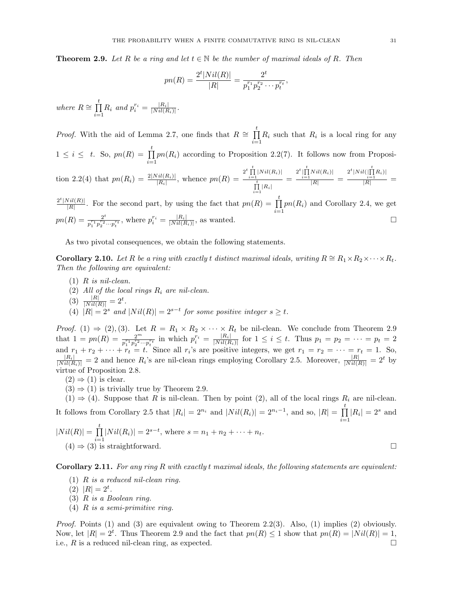**Theorem 2.9.** Let R be a ring and let  $t \in \mathbb{N}$  be the number of maximal ideals of R. Then

$$
pn(R) = \frac{2^t |Nil(R)|}{|R|} = \frac{2^t}{p_1^{r_1} p_2^{r_2} \cdots p_t^{r_t}},
$$

where  $R \cong \prod^t$  $\prod_{i=1}^{\infty} R_i$  and  $p_i^{r_i} = \frac{|R_i|}{|Nil(R_i)|}$  $\frac{|R_i|}{|Nil(R_i)|}$ .

*Proof.* With the aid of Lemma 2.7, one finds that  $R \cong \prod_{i=1}^{t}$  $\prod_{i=1} R_i$  such that  $R_i$  is a local ring for any  $1 \leq i \leq t$ . So,  $pn(R) = \prod_{i=1}^{t}$  $\prod_{i=1}$  pn( $R_i$ ) according to Proposition 2.2(7). It follows now from Proposition 2.2(4) that  $pn(R_i) = \frac{2|Nil(R_i)|}{|R_i|}$ , whence  $pn(R) = \frac{2^t \prod\limits_{i=1}^{t} |Nil(R_i)|}{\prod\limits_{i=1}^{t} |R_i|}$  $\prod\limits_{i=1}^t |R_i|$  $=\frac{2^t \prod\limits_{i=1}^t Nil(R_i)|}{|R|}$  $\frac{Nil(R_i)|}{|R|} = \frac{2^t|Nil(\prod\limits_{i=1}^tR_i)|}{|R|}$  $\frac{i=1}{|R|} =$  $2^t |Nil(R)|$  $\frac{|\nabla u(R)|}{|R|}$ . For the second part, by using the fact that  $pn(R) = \prod_{k=1}^{t}$  $\prod_{i=1}$  pn( $R_i$ ) and Corollary 2.4, we get

 $pn(R) = \frac{2^t}{r^2 \cdot r^2}$  $\frac{2^t}{p_1^{r_1}p_2^{r_2} \cdots p_t^{r_t}}$ , where  $p_i^{r_i} = \frac{|R_i|}{|Nil(R_i)|}$  $\frac{|R_i|}{|Nil(R_i)|}$ , as wanted.

As two pivotal consequences, we obtain the following statements.

**Corollary 2.10.** Let R be a ring with exactly t distinct maximal ideals, writing  $R \cong R_1 \times R_2 \times \cdots \times R_t$ . Then the following are equivalent:

- $(1)$  R is nil-clean.
- (2) All of the local rings  $R_i$  are nil-clean.
- (3)  $\frac{|R|}{|Nil(R)|} = 2^t$ .
- (4)  $|R| = 2^s$  and  $|Nil(R)| = 2^{s-t}$  for some positive integer  $s \ge t$ .

*Proof.* (1)  $\Rightarrow$  (2), (3). Let  $R = R_1 \times R_2 \times \cdots \times R_t$  be nil-clean. We conclude from Theorem 2.9 that  $1 = pn(R) = \frac{2^m}{p_1^{r_1} p_2^{r_2} \cdots p_t^{r_t}}$  in which  $p_i^{r_i} = \frac{|R_i|}{|Nil(R_i)|}$  $\frac{|R_i|}{|Nil(R_i)|}$  for  $1 \leq i \leq t$ . Thus  $p_1 = p_2 = \cdots = p_t = 2$ and  $r_1 + r_2 + \cdots + r_t = t$ . Since all  $r_i$ 's are positive integers, we get  $r_1 = r_2 = \cdots = r_t = 1$ . So,  $\frac{|R_i|}{|Nil(R_i)|} = 2$  and hence  $R_i$ 's are nil-clean rings employing Corollary 2.5. Moreover,  $\frac{|R|}{|Nil(R)|} = 2^t$  by virtue of Proposition 2.8.

 $(2) \Rightarrow (1)$  is clear.

 $(3) \Rightarrow (1)$  is trivially true by Theorem 2.9.

 $(1) \Rightarrow (4)$ . Suppose that R is nil-clean. Then by point  $(2)$ , all of the local rings  $R_i$  are nil-clean. It follows from Corollary 2.5 that  $|R_i| = 2^{n_i}$  and  $|Nil(R_i)| = 2^{n_i-1}$ , and so,  $|R| = \prod_i$  $\prod_{i=1} |R_i| = 2^s$  and  $|Nil(R)|=\prod^t$ 

 $\prod_{i=1} |Nil(R_i)| = 2^{s-t}$ , where  $s = n_1 + n_2 + \cdots + n_t$ .  $(4) \Rightarrow (3)$  is straightforward.

Corollary 2.11. For any ring R with exactly t maximal ideals, the following statements are equivalent:

(1)  $R$  is a reduced nil-clean ring.

(2)  $|R| = 2^t$ .

- (3) R is a Boolean ring.
- (4)  $R$  is a semi-primitive ring.

*Proof.* Points (1) and (3) are equivalent owing to Theorem 2.2(3). Also, (1) implies (2) obviously. Now, let  $|R| = 2^t$ . Thus Theorem 2.9 and the fact that  $pn(R) \le 1$  show that  $pn(R) = |Nil(R)| = 1$ , i.e.,  $R$  is a reduced nil-clean ring, as expected.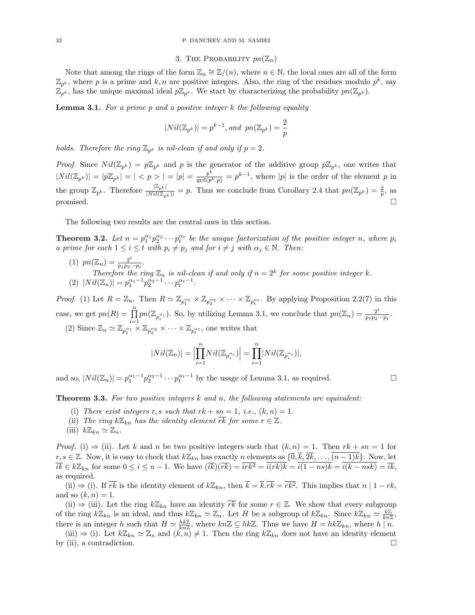### 3. THE PROBABILITY  $pn(\mathbb{Z}_n)$

Note that among the rings of the form  $\mathbb{Z}_n \cong \mathbb{Z}/(n)$ , where  $n \in \mathbb{N}$ , the local ones are all of the form  $\mathbb{Z}_{p^k}$ , where p is a prime and k, n are positive integers. Also, the ring of the residues modulo  $p^k$ , say  $\mathbb{Z}_{p^k}$ , has the unique maximal ideal  $p\mathbb{Z}_{p^k}$ . We start by characterizing the probability  $pn(\mathbb{Z}_{p^k})$ .

**Lemma 3.1.** For a prime p and a positive integer  $k$  the following equality

$$
|Nil(\mathbb{Z}_{p^k})|=p^{k-1},\,and\ \, pn(\mathbb{Z}_{p^k})=\frac{2}{p}
$$

holds. Therefore the ring  $\mathbb{Z}_{p^k}$  is nil-clean if and only if  $p = 2$ .

*Proof.* Since  $Nil(\mathbb{Z}_{p^k}) = p\mathbb{Z}_{p^k}$  and p is the generator of the additive group  $p\mathbb{Z}_{p^k}$ , one writes that  $|Nil(\mathbb{Z}_{p^k})|=|p\mathbb{Z}_{p^k}|=|\langle p>|=|p|=\frac{p^k}{\gcd(p^k,p)}=p^{k-1},$  where  $|p|$  is the order of the element p in the group  $\mathbb{Z}_{p^k}$ . Therefore  $\frac{|\mathbb{Z}_{p^k}|}{|Nil(\mathbb{Z}_{p^k})|} = p$ . Thus we conclude from Corollary 2.4 that  $pn(\mathbb{Z}_{p^k}) = \frac{2}{p}$ , as promised.  $\square$ 

The following two results are the central ones in this section.

**Theorem 3.2.** Let  $n = p_1^{\alpha_1} p_2^{\alpha_2} \cdots p_t^{\alpha_t}$  be the unique factorization of the positive integer n, where  $p_i$ a prime for each  $1 \leq i \leq t$  with  $p_i \neq p_j$  and for  $i \neq j$  with  $\alpha_j \in \mathbb{N}$ . Then:

(1)  $pn(\mathbb{Z}_n) = \frac{2^t}{n_1 n_2}$  $\frac{2^i}{p_1p_2\cdots p_t}$ . Therefore the ring  $\mathbb{Z}_n$  is nil-clean if and only if  $n = 2^k$  for some positive integer k. (2)  $|Nil(\mathbb{Z}_n)| = p_1^{\alpha_1-1}p_2^{\alpha_2-1}\cdots p_t^{\alpha_t-1}.$ 

*Proof.* (1) Let  $R = \mathbb{Z}_n$ . Then  $R \simeq \mathbb{Z}_{p_1^{\alpha_1}} \times \mathbb{Z}_{p_2^{\alpha_2}} \times \cdots \times \mathbb{Z}_{p_t^{\alpha_t}}$ . By applying Proposition 2.2(7) in this case, we get  $pn(R) = \prod_{n=1}^n$  $\prod_{i=1}^{n} pn(\mathbb{Z}_{p_i^{\alpha_i}})$ . So, by utilizing Lemma 3.1, we conclude that  $pn(\mathbb{Z}_n) = \frac{2^t}{p_1 p_2}$ .  $\frac{2^r}{p_1p_2\cdots p_t}$ .

(2) Since  $\mathbb{Z}_n \simeq \mathbb{Z}_{p_1^{a_1}} \times \mathbb{Z}_{p_2^{a_2}} \times \cdots \times \mathbb{Z}_{p_t^{a_t}}$ , one writes that

$$
|Nil(\mathbb{Z}_n)| = \Big|\prod_{i=1}^n Nil(\mathbb{Z}_{p_i^{\alpha_i}})\Big| = \prod_{i=1}^n |Nil(\mathbb{Z}_{p_i^{\alpha_i}})|,
$$

and so,  $|Nil(\mathbb{Z}_n)| = p_1^{\alpha_1-1}p_2^{\alpha_2-1}\cdots p_t^{\alpha_t-1}$  by the usage of Lemma 3.1, as required.

**Theorem 3.3.** For two positive integers  $k$  and  $n$ , the following statements are equivalent:

- (i) There exist integers r, s such that  $rk + sn = 1$ , i.e.,  $(k, n) = 1$ .
- (ii) The ring  $k\mathbb{Z}_{kn}$  has the identity element  $\overline{rk}$  for some  $r \in \mathbb{Z}$ .
- (iii)  $k\mathbb{Z}_{kn} \simeq \mathbb{Z}_n$ .

*Proof.* (i)  $\Rightarrow$  (ii). Let k and n be two positive integers such that  $(k, n) = 1$ . Then  $rk + sn = 1$  for  $r, s \in \mathbb{Z}$ . Now, it is easy to check that  $k\mathbb{Z}_{kn}$  has exactly n elements as  $\{\overline{0}, \overline{k}, \overline{2k}, \ldots, \overline{(n-1)k}\}$ . Now, let  $i\overline{k} \in k\mathbb{Z}_{kn}$  for some  $0 \leq i \leq n-1$ . We have  $(i\overline{k})(\overline{rk}) = \overline{irk^2} = \overline{i(rk)}\overline{k} = \overline{i(1 - ns)}\overline{k} = \overline{i(k - nsk)} = \overline{ik},$ as required.

(ii)  $\Rightarrow$  (i). If  $\overline{rk}$  is the identity element of  $k\mathbb{Z}_{kn}$ , then  $\overline{k} = \overline{k} \cdot \overline{rk} = \overline{rk^2}$ . This implies that  $n \mid 1 - rk$ , and so  $(k, n) = 1$ .

(ii)  $\Rightarrow$  (iii). Let the ring  $k\mathbb{Z}_{kn}$  have an identity  $\overline{rk}$  for some  $r \in \mathbb{Z}$ . We show that every subgroup of the ring  $k\mathbb{Z}_{kn}$  is an ideal, and thus  $k\mathbb{Z}_{kn} \simeq \mathbb{Z}_n$ . Let H be a subgroup of  $k\mathbb{Z}_{kn}$ . Since  $k\mathbb{Z}_{kn} \simeq \frac{k\mathbb{Z}}{kn\mathbb{Z}}$ , there is an integer h such that  $H \simeq \frac{hk\mathbb{Z}}{kn\mathbb{Z}}$ , where  $kn\mathbb{Z} \subseteq hk\mathbb{Z}$ . Thus we have  $H = hk\mathbb{Z}_{kn}$ , where  $h \mid n$ .

(iii)  $\Rightarrow$  (i). Let  $k\mathbb{Z}_{kn} \simeq \mathbb{Z}_n$  and  $(k,n) \neq 1$ . Then the ring  $k\mathbb{Z}_{kn}$  does not have an identity element by (ii), a contradiction.  $\square$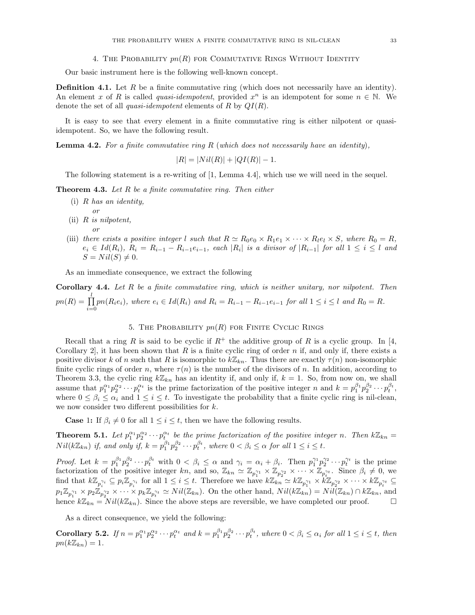### 4. THE PROBABILITY  $pn(R)$  for COMMUTATIVE RINGS WITHOUT IDENTITY

Our basic instrument here is the following well-known concept.

**Definition 4.1.** Let R be a finite commutative ring (which does not necessarily have an identity). An element x of R is called quasi-idempotent, provided  $x^n$  is an idempotent for some  $n \in \mathbb{N}$ . We denote the set of all *quasi-idempotent* elements of R by  $QI(R)$ .

It is easy to see that every element in a finite commutative ring is either nilpotent or quasiidempotent. So, we have the following result.

**Lemma 4.2.** For a finite commutative ring R (which does not necessarily have an identity),

 $|R| = |Nil(R)| + |QI(R)| - 1.$ 

The following statement is a re-writing of [1, Lemma 4.4], which use we will need in the sequel.

**Theorem 4.3.** Let R be a finite commutative ring. Then either

- (i) R has an identity, or
- (ii) R is nilpotent, or
- (iii) there exists a positive integer l such that  $R \simeq R_0e_0 \times R_1e_1 \times \cdots \times R_le_l \times S$ , where  $R_0 = R$ ,  $e_i \in Id(R_i), R_i = R_{i-1} - R_{i-1}e_{i-1},$  each  $|R_i|$  is a divisor of  $|R_{i-1}|$  for all  $1 \leq i \leq l$  and  $S = Nil(S) \neq 0.$

As an immediate consequence, we extract the following

**Corollary 4.4.** Let  $R$  be a finite commutative ring, which is neither unitary, nor nilpotent. Then  $pn(R) = \prod^l$  $\prod_{i=0}$  pn( $R_i e_i$ ), where  $e_i \in Id(R_i)$  and  $R_i = R_{i-1} - R_{i-1}e_{i-1}$  for all  $1 \le i \le l$  and  $R_0 = R$ .

## 5. THE PROBABILITY  $pn(R)$  for FINITE CYCLIC RINGS

Recall that a ring R is said to be cyclic if  $R^+$  the additive group of R is a cyclic group. In [4, Corollary 2, it has been shown that R is a finite cyclic ring of order n if, and only if, there exists a positive divisor k of n such that R is isomorphic to  $k\mathbb{Z}_{kn}$ . Thus there are exactly  $\tau(n)$  non-isomorphic finite cyclic rings of order n, where  $\tau(n)$  is the number of the divisors of n. In addition, according to Theorem 3.3, the cyclic ring  $k\mathbb{Z}_{kn}$  has an identity if, and only if,  $k = 1$ . So, from now on, we shall assume that  $p_1^{\alpha_1} p_2^{\alpha_2} \cdots p_t^{\alpha_t}$  is the prime factorization of the positive integer n and  $k = p_1^{\beta_1} p_2^{\beta_2} \cdots p_t^{\beta_t}$ , where  $0 \le \beta_i \le \alpha_i$  and  $1 \le i \le t$ . To investigate the probability that a finite cyclic ring is nil-clean, we now consider two different possibilities for k.

**Case** 1: If  $\beta_i \neq 0$  for all  $1 \leq i \leq t$ , then we have the following results.

**Theorem 5.1.** Let  $p_1^{\alpha_1}p_2^{\alpha_2}\cdots p_t^{\alpha_t}$  be the prime factorization of the positive integer n. Then  $k\mathbb{Z}_{kn}$  $Nil(k\mathbb{Z}_{kn})$  if, and only if,  $k = p_1^{\beta_1}p_2^{\beta_2} \cdots p_t^{\beta_t}$ , where  $0 < \beta_i \leq \alpha$  for all  $1 \leq i \leq t$ .

*Proof.* Let  $k = p_1^{\beta_1} p_2^{\beta_2} \cdots p_t^{\beta_t}$  with  $0 < \beta_i \leq \alpha$  and  $\gamma_i = \alpha_i + \beta_i$ . Then  $p_1^{\gamma_1} p_2^{\gamma_2} \cdots p_t^{\gamma_t}$  is the prime factorization of the positive integer kn, and so,  $\mathbb{Z}_{kn} \simeq \mathbb{Z}_{p_1^{r_1}} \times \mathbb{Z}_{p_2^{r_2}} \times \cdots \times \mathbb{Z}_{p_t^{r_t}}$ . Since  $\beta_i \neq 0$ , we find that  $k\mathbb{Z}_{p_i^{\gamma_i}} \subseteq p_i\mathbb{Z}_{p_i^{\gamma_i}}$  for all  $1 \leq i \leq t$ . Therefore we have  $k\mathbb{Z}_{kn} \simeq k\mathbb{Z}_{p_1^{\gamma_1}} \times k\mathbb{Z}_{p_2^{\gamma_2}} \times \cdots \times k\mathbb{Z}_{p_t^{\gamma_t}} \subseteq$  $p_1 \mathbb{Z}_{p_1^{\gamma_1}} \times p_2 \mathbb{Z}_{p_2^{\gamma_2}} \times \cdots \times p_k \mathbb{Z}_{p_t^{\gamma_t}} \simeq Nil(\mathbb{Z}_{kn})$ . On the other hand,  $Nil(k\mathbb{Z}_{kn}) = Nil(\mathbb{Z}_{kn}) \cap k\mathbb{Z}_{kn}$ , and hence  $k\mathbb{Z}_{kn} = Nil(k\mathbb{Z}_{kn})$ . Since the above steps are reversible, we have completed our proof.

As a direct consequence, we yield the following:

**Corollary 5.2.** If  $n = p_1^{\alpha_1} p_2^{\alpha_2} \cdots p_t^{\alpha_t}$  and  $k = p_1^{\beta_1} p_2^{\beta_2} \cdots p_t^{\beta_t}$ , where  $0 < \beta_i \leq \alpha_i$  for all  $1 \leq i \leq t$ , then  $pn(k\mathbb{Z}_{kn})=1.$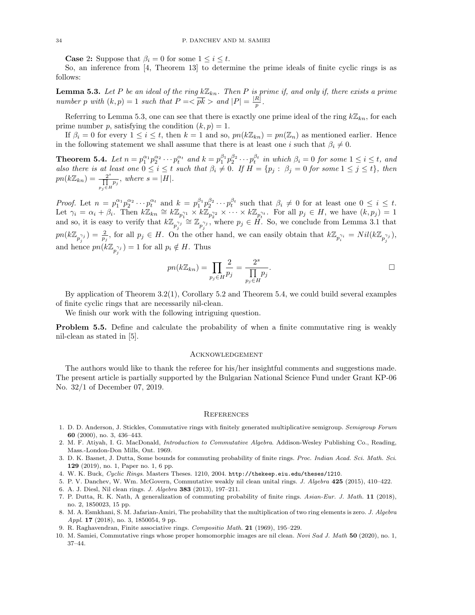**Case 2:** Suppose that  $\beta_i = 0$  for some  $1 \leq i \leq t$ .

So, an inference from [4, Theorem 13] to determine the prime ideals of finite cyclic rings is as follows:

**Lemma 5.3.** Let P be an ideal of the ring  $k\mathbb{Z}_{kn}$ . Then P is prime if, and only if, there exists a prime number p with  $(k, p) = 1$  such that  $P = \sqrt{pk} >$  and  $|P| = \frac{|R|}{p}$  $\frac{R\|}{p}$  .

Referring to Lemma 5.3, one can see that there is exactly one prime ideal of the ring  $k\mathbb{Z}_{kn}$ , for each prime number p, satisfying the condition  $(k, p) = 1$ .

If  $\beta_i = 0$  for every  $1 \leq i \leq t$ , then  $k = 1$  and so,  $pn(k\mathbb{Z}_{kn}) = pn(\mathbb{Z}_n)$  as mentioned earlier. Hence in the following statement we shall assume that there is at least one i such that  $\beta_i \neq 0$ .

**Theorem 5.4.** Let  $n = p_1^{\alpha_1} p_2^{\alpha_2} \cdots p_t^{\alpha_t}$  and  $k = p_1^{\beta_1} p_2^{\beta_2} \cdots p_t^{\beta_t}$  in which  $\beta_i = 0$  for some  $1 \le i \le t$ , and also there is at least one  $0 \le i \le t$  such that  $\beta_i \neq 0$ . If  $H = \{p_j : \beta_j = 0$  for some  $1 \le j \le t\}$ , then  $pn(k\mathbb{Z}_{kn})=\frac{2^s}{\prod}$  $\frac{2^s}{\prod\limits_{p_j\in H}p_j},\ where\ s=|H|.$ 

*Proof.* Let  $n = p_1^{\alpha_1} p_2^{\alpha_2} \cdots p_t^{\alpha_t}$  and  $k = p_1^{\beta_1} p_2^{\beta_2} \cdots p_t^{\beta_t}$  such that  $\beta_i \neq 0$  for at least one  $0 \leq i \leq t$ . Let  $\gamma_i = \alpha_i + \beta_i$ . Then  $k\mathbb{Z}_{kn} \cong k\mathbb{Z}_{p_1^{r_1}} \times k\mathbb{Z}_{p_2^{r_2}} \times \cdots \times k\mathbb{Z}_{p_t^{r_t}}$ . For all  $p_j \in H$ , we have  $(k, p_j) = 1$ and so, it is easy to verify that  $k\mathbb{Z}_{p_j^{\gamma_j}} \cong \mathbb{Z}_{p_j^{\gamma_j}}$ , where  $p_j \in \tilde{H}$ . So, we conclude from Lemma 3.1 that  $pn(k\mathbb{Z}_{p_j^{\gamma_j}})=\frac{2}{p_j}$ , for all  $p_j \in H$ . On the other hand, we can easily obtain that  $k\mathbb{Z}_{p_i^{\gamma_i}}=Nil(k\mathbb{Z}_{p_j^{\gamma_j}})$ , and hence  $pn(k\mathbb{Z}_{p_j^{\gamma_j}})=1$  for all  $p_i \notin H$ . Thus

$$
pn(k\mathbb{Z}_{kn}) = \prod_{p_j \in H} \frac{2}{p_j} = \frac{2^s}{\prod_{p_j \in H} p_j}.
$$

By application of Theorem 3.2(1), Corollary 5.2 and Theorem 5.4, we could build several examples of finite cyclic rings that are necessarily nil-clean.

We finish our work with the following intriguing question.

**Problem 5.5.** Define and calculate the probability of when a finite commutative ring is weakly nil-clean as stated in [5].

### **ACKNOWLEDGEMENT**

The authors would like to thank the referee for his/her insightful comments and suggestions made. The present article is partially supported by the Bulgarian National Science Fund under Grant KP-06 No. 32/1 of December 07, 2019.

#### **REFERENCES**

- 1. D. D. Anderson, J. Stickles, Commutative rings with finitely generated multiplicative semigroup. Semigroup Forum 60 (2000), no. 3, 436–443.
- 2. M. F. Atiyah, I. G. MacDonald, Introduction to Commutative Algebra. Addison-Wesley Publishing Co., Reading, Mass.-London-Don Mills, Ont. 1969.
- 3. D. K. Basnet, J. Dutta, Some bounds for commuting probability of finite rings. Proc. Indian Acad. Sci. Math. Sci. 129 (2019), no. 1, Paper no. 1, 6 pp.
- 4. W. K. Buck, Cyclic Rings. Masters Theses. 1210, 2004. http://thekeep.eiu.edu/theses/1210.
- 5. P. V. Danchev, W. Wm. McGovern, Commutative weakly nil clean unital rings. J. Algebra 425 (2015), 410–422. 6. A. J. Diesl, Nil clean rings. J. Algebra 383 (2013), 197–211.
- 7. P. Dutta, R. K. Nath, A generalization of commuting probability of finite rings. Asian-Eur. J. Math. 11 (2018), no. 2, 1850023, 15 pp.
- 8. M. A. Esmkhani, S. M. Jafarian-Amiri, The probability that the multiplication of two ring elements is zero. J. Algebra Appl. 17 (2018), no. 3, 1850054, 9 pp.
- 9. R. Raghavendran, Finite associative rings. Compositio Math. 21 (1969), 195–229.
- 10. M. Samiei, Commutative rings whose proper homomorphic images are nil clean. Novi Sad J. Math 50 (2020), no. 1, 37–44.